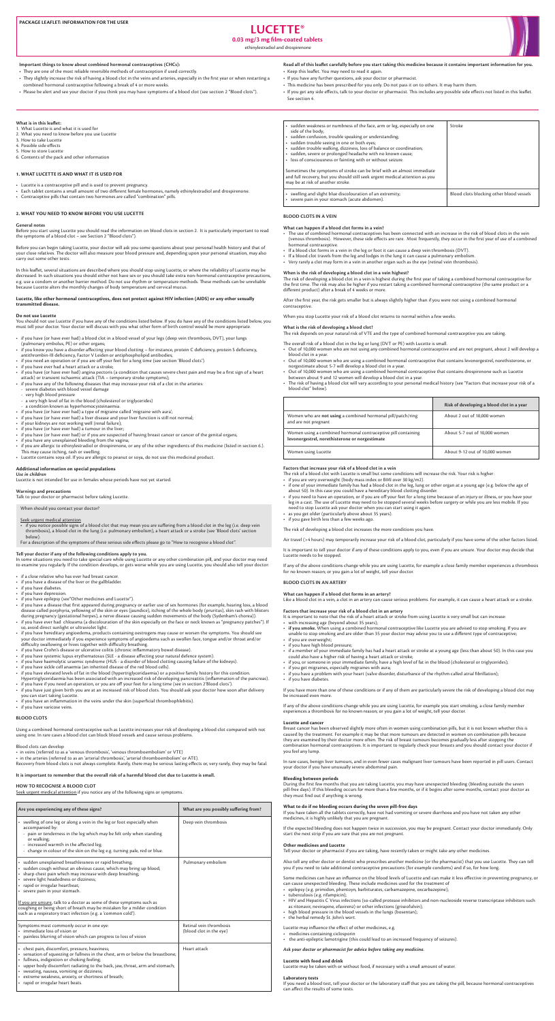# **LUCETTE®**

# **0.03 mg/3 mg film-coated tablets**

ethinylestradiol and drospirenone



#### Important things to know about combined hormonal contraceptives (CHCs):

- They are one of the most reliable reversible methods of contraception if used correctly.
- They slightly increase the risk of having a blood clot in the veins and arteries, especially in the first year or when restarting a combined hormonal contraceptive following a break of 4 or more weeks.
- . Please be alert and see your doctor if you think you may have symptoms of a blood clot (see section 2 "Blood clots").

# Read all of this leaflet carefully before you start taking this medicine because it contains important information for you. • Keep this leaflet. You may need to read it again.

- If you have any further questions, ask your doctor or pharmacist.
- This medicine has been prescribed for you only. Do not pass it on to others. It may harm them.
- . If you get any side effects, talk to your doctor or pharmacist. This includes any possible side effects not listed in this leaflet. See section 4.

# **What is in this leaflet:**

- 1. What Lucette is and what it is used for
- 2. What you need to know before you use Lucette
- 3. How to take Lucette 4. Possible side effects
- 5. How to store Lucette
- 6. Contents of the pack and other information

#### **1. WHAT LUCETTE IS AND WHAT IT IS USED FOR**

- Lucette is a contraceptive pill and is used to prevent pregnancy.
- Each tablet contains a small amount of two different female hormones, namely ethinylestradiol and drospirenone.
- Contraceptive pills that contain two hormones are called "combination" pills

#### 2. WHAT YOU NEED TO KNOW BEFORE YOU USE LUCETTE

#### **General** notes

Before you start using Lucette you should read the information on blood clots in section 2. It is particularly important to read the symptoms of a blood clot – see Section 2 "Blood clots").

Before you can begin taking Lucette, your doctor will ask you some questions about your personal health history and that of your close relatives. The doctor will also measure your blood pressure and, depending upon your personal situation, may also carry out some other tests.

In this leaflet, several situations are described where you should stop using Lucette, or where the reliability of Lucette may be decreased. In such situations you should either not have sex or you should take extra non-hormonal contraceptive precautions, e.g. use a condom or another barrier method. Do not use rhythm or temperature methods. These methods can be unreliable because Lucette alters the monthly changes of body temperature and cervical mucus.

#### Lucette, like other hormonal contraceptives, does not protect against HIV infection (AIDS) or any other sexually transmitted disease.

#### **Do** not use Lucette

You should not use Lucette if you have any of the conditions listed below. If you do have any of the conditions listed below, you must tell your doctor. Your doctor will discuss with you what other form of birth control would be more appropriate.

- if you have (or have ever had) a blood clot in a blood vessel of your legs (deep vein thrombosis, DVT), your lungs (pulmonary embolus, PE) or other organs;
- if you know you have a disorder affecting your blood clotting for instance, protein C deficiency, protein S deficiency, antithrombin-III deficiency, Factor V Leiden or antiphospholipid antibodies;
- if you need an operation or if you are off your feet for a long time (see section 'Blood clots').
- if you have ever had a heart attack or a stroke;
- if you have (or have ever had) angina pectoris (a condition that causes severe chest pain and may be a first sign of a heart attack) or transient ischaemic attack (TIA - temporary stroke symptoms);
- $\cdot$  if you have any of the following diseases that may increase your risk of a clot in the arteries:
- severe diabetes with blood vessel damage
- very high blood pressure
- a very high level of fat in the blood (cholesterol or triglycerides)
- a condition known as hyperhomocysteinaemia.
- if you have (or have ever had) a type of migraine called 'migraine with aura';
- if you have (or have ever had) a liver disease and your liver function is still not normal;
- if your kidneys are not working well (renal failure);
- if you have (or have ever had) a tumour in the liver;
- if you have (or have ever had) or if you are suspected of having breast cancer or cancer of the genital organs;
- if you have any unexplained bleeding from the vagina;
- if you are allergic to ethinylestradiol or drospirenone, or any of the other ingredients of this medicine (listed in section 6.). This may cause itching, rash or swelling.
- . Lucette contains soya oil. If you are allergic to peanut or soya, do not use this medicinal product.

#### **Additional information on special populations** Use in children

Lucette is not intended for use in females whose periods have not yet started.

### **Warnings and precautions**

Talk to your doctor or pharmacist before taking Lucette.

When should you contact your doctor?

sudden weakness or numbness of the face, arm or leg, especially on one  $\left| \right|$  Stroke side of the body; sudden confusion, trouble speaking or understanding; sudden trouble seeing in one or both eyes; sudden trouble walking, dizziness, loss of balance or coordination; sudden, severe or prolonged headache with no known cause; loss of consciousness or fainting with or without seizure. Sometimes the symptoms of stroke can be brief with an almost immediate and full recovery, but you should still seek urgent medical attention as you may be at risk of another stroke.

swelling and slight blue discolouration of an extremity; **and all of the summan of the summan of the summan of the stremity** and specifies and summan blocking other blood vessels severe pain in your stomach (acute abdomen).

#### **BLOOD CLOTS IN A VEIN**

#### What can happen if a blood clot forms in a vein?

- The use of combined hormonal contraceptives has been connected with an increase in the risk of blood clots in the vein (venous thrombosis). However, these side effects are rare. Most frequently, they occur in the first year of use of a combined hormonal contraceptive.
- If a blood clot forms in a vein in the leg or foot it can cause a deep vein thrombosis (DVT).
- If a blood clot travels from the leg and lodges in the lung it can cause a pulmonary embolism.
- Very rarely a clot may form in a vein in another organ such as the eye (retinal vein thrombosis).

#### When is the risk of developing a blood clot in a vein highest?

The risk of developing a blood clot in a vein is highest during the first year of taking a combined hormonal contraceptive for the first time. The risk may also be higher if you restart taking a combined hormonal contraceptive (the same product or a different product) after a break of 4 weeks or more.

After the first year, the risk gets smaller but is always slightly higher than if you were not using a combined hormonal .contraceptive

When you stop Lucette your risk of a blood clot returns to normal within a few weeks.

### What is the risk of developing a blood clot?

The risk depends on your natural risk of VTE and the type of combined hormonal contraceptive you are taking.

The overall risk of a blood clot in the leg or lung (DVT or PE) with Lucette is small.

- Out of 10,000 women who are not using any combined hormonal contraceptive and are not pregnant, about 2 will develop a blood clot in a year.
- Out of 10,000 women who are using a combined hormonal contraceptive that contains levonorgestrel, norethisterone, or norgestimate about 5-7 will develop a blood clot in a year.
- Cut of 10,000 women who are using a combined hormonal contraceptive that contains drospirenone such as Lucette between about 9 and 12 women will develop a blood clot in a year.
- The risk of having a blood clot will vary according to your personal medical history (see "Factors that increase your risk of a blood clot" below).

| Are you experiencing any of these signs?                                                                                                                                                                                                                                                                                                                                                                                                                                                                                        | What are you possibly suffering from?              |
|---------------------------------------------------------------------------------------------------------------------------------------------------------------------------------------------------------------------------------------------------------------------------------------------------------------------------------------------------------------------------------------------------------------------------------------------------------------------------------------------------------------------------------|----------------------------------------------------|
| • swelling of one leg or along a vein in the leg or foot especially when<br>accompanied by:<br>- pain or tenderness in the leg which may be felt only when standing<br>or walking;<br>- increased warmth in the affected leg;<br>- change in colour of the skin on the leg e.g. turning pale, red or blue.                                                                                                                                                                                                                      | Deep vein thrombosis                               |
| • sudden unexplained breathlessness or rapid breathing;<br>· sudden cough without an obvious cause, which may bring up blood;<br>sharp chest pain which may increase with deep breathing;<br>• severe light headedness or dizziness;<br>• rapid or irregular heartbeat;<br>• severe pain in your stomach.<br>If you are unsure, talk to a doctor as some of these symptoms such as<br>coughing or being short of breath may be mistaken for a milder condition<br>such as a respiratory tract infection (e.g. a 'common cold'). | Pulmonary embolism                                 |
| Symptoms most commonly occur in one eye:<br>• immediate loss of vision or<br>painless blurring of vision which can progress to loss of vision                                                                                                                                                                                                                                                                                                                                                                                   | Retinal vein thrombosis<br>(blood clot in the eye) |
| • chest pain, discomfort, pressure, heaviness;<br>sensation of squeezing or fullness in the chest, arm or below the breastbone;<br>• fullness, indigestion or choking feeling;<br>upper body discomfort radiating to the back, jaw, throat, arm and stomach;<br>$\bullet$<br>sweating, nausea, vomiting or dizziness;<br>extreme weakness, anxiety, or shortness of breath;<br>• rapid or irregular heart beats.                                                                                                                | Heart attack                                       |

- as you get older (particularly above about 35 years).
- if you gave birth less than a few weeks ago.

The risk of developing a blood clot increases the more conditions you have.

Air travel (>4 hours) may temporarily increase your risk of a blood clot, particularly if you have some of the other factors listed.

It is important to tell your doctor if any of these conditions apply to you, even if you are unsure. Your doctor may decide that Lucette needs to be stopped.

If any of the above conditions change while you are using Lucette, for example a close family member experiences a thrombosis for no known reason; or you gain a lot of weight, tell your doctor.

#### **BLOOD CLOTS IN AN ARTERY**

#### What can happen if a blood clot forms in an artery?

Like a blood clot in a vein, a clot in an artery can cause serious problems. For example, it can cause a heart attack or a stroke.

#### Factors that increase your risk of a blood clot in an artery

It is important to note that the risk of a heart attack or stroke from using Lucette is very small but can increase: • with increasing age (beyond about 35 years);

- if you smoke. When using a combined hormonal contraceptive like Lucette you are advised to stop smoking. If you are unable to stop smoking and are older than 35 your doctor may advise you to use a different type of contraceptive;
- if you are overweight;
- if you have high blood pressure;
- if a member of your immediate family has had a heart attack or stroke at a young age (less than about 50). In this case you could also have a higher risk of having a heart attack or stroke;
- if you, or someone in your immediate family, have a high level of fat in the blood (cholesterol or triglycerides);
- if you get migraines, especially migraines with aura;
- if you have a problem with your heart (valve disorder, disturbance of the rhythm called atrial fibrillation);
- if you have diabetes.

If you have more than one of these conditions or if any of them are particularly severe the risk of developing a blood clot may be increased even more.

If any of the above conditions change while you are using Lucette, for example you start smoking, a close family member experiences a thrombosis for no known reason; or you gain a lot of weight, tell your doctor.

#### **Lucette and cancer**

Breast cancer has been observed slightly more often in women using combination pills, but it is not known whether this is caused by the treatment. For example it may be that more tumours are detected in women on combination pills because they are examined by their doctor more often. The risk of breast tumours becomes gradually less after stopping the combination hormonal contraceptives. It is important to regularly check your breasts and you should contact your doctor if you feel any lump.

In rare cases, benign liver tumours, and in even fewer cases malignant liver tumours have been reported in pill users. Contact your doctor if you have unusually severe abdominal pain.

# **Bleeding between periods**

During the first few months that you are taking Lucette, you may have unexpected bleeding (bleeding outside the seven pill-free days). If this bleeding occurs for more than a few months, or if it begins after some months, contact your doctor as they must find out if anything is wrong.

# What to do if no bleeding occurs during the seven pill-free days

If you have taken all the tablets correctly, have not had vomiting or severe diarrhoea and you have not taken any other medicines, it is highly unlikely that you are pregnant.

If the expected bleeding does not happen twice in succession, you may be pregnant. Contact your doctor immediately. Only start the next strip if you are sure that you are not pregnant.

#### **Other medicines and Lucette**

Tell your doctor or pharmacist if you are taking, have recently taken or might take any other medicines.

Also tell any other doctor or dentist who prescribes another medicine (or the pharmacist) that you use Lucette. They can tell you if you need to take additional contraceptive precautions (for example condoms) and if so, for how long.

Some medicines can have an influence on the blood levels of Lucette and can make it less effective in preventing pregnancy, or can cause unexpected bleeding. These include medicines used for the treatment of

- epilepsy (e.g. primidon, phentoyn, barbiturates, carbamazepine, oxcarbazepine);
- tuberculosis (e.g. rifampicin);
- HIV and Hepatitis C Virus infections (so-called protease inhibitors and non-nucleoside reverse transcriptase inhibitors such as ritonavir, nevirapine, efavirenz) or other infections (griseofulvin);
- high blood pressure in the blood vessels in the lungs (bosentan);
- the herbal remedy St. John's wort.

Lucette may influence the effect of other medicines, e.g.

- medicines containing ciclosporin
- the anti-epileptic lamotrigine (this could lead to an increased frequency of seizures).

Ask your doctor or pharmacist for advice before taking any medicine.

#### **Lucette with food and drink**

Lucette may be taken with or without food, if necessary with a small amount of water.

#### **Laboratory** tests

If you need a blood test, tell your doctor or the laboratory staff that you are taking the pill, because hormonal contraceptives can affect the results of some tests.

|                                                                                                                 | Risk of developing a blood clot in a year |
|-----------------------------------------------------------------------------------------------------------------|-------------------------------------------|
| Women who are not using a combined hormonal pill/patch/ring<br>and are not pregnant                             | About 2 out of 10,000 women               |
| Women using a combined hormonal contraceptive pill containing<br>levonorgestrel, norethisterone or norgestimate | About 5-7 out of 10,000 women             |
| Women using Lucette                                                                                             | About 9-12 out of 10,000 women            |

#### Factors that increase your risk of a blood clot in a vein

- The risk of a blood clot with Lucette is small but some conditions will increase the risk. Your risk is higher:
- if you are very overweight (body mass index or BMI over 30 kg/m2).
- if one of your immediate family has had a blood clot in the leg, lung or other organ at a young age (e.g. below the age of about 50). In this case you could have a hereditary blood clotting disorder.
- if you need to have an operation, or if you are off your feet for a long time because of an injury or illness, or you have your leg in a cast. The use of Lucette may need to be stopped several weeks before surgery or while you are less mobile. If you need to stop Lucette ask your doctor when you can start using it again.

#### Seek urgent medical attention

• if you notice possible signs of a blood clot that may mean you are suffering from a blood clot in the leg (i.e. deep vein thrombosis), a blood clot in the lung (i.e. pulmonary embolism), a heart attack or a stroke (see 'Blood clots' section below).

For a description of the symptoms of these serious side effects please go to "How to recognise a blood clot".

#### Tell your doctor if any of the following conditions apply to you.

In some situations you need to take special care while using Lucette or any other combination pill, and your doctor may need to examine you regularly. If the condition develops, or gets worse while you are using Lucette, you should also tell your doctor:

- if a close relative who has ever had breast cancer.
- if you have a disease of the liver or the gallbladder.
- if you have diabetes.
- if you have depression.
- if you have epilepsy (see "Other medicines and Lucette").
- if you have a disease that first appeared during pregnancy or earlier use of sex hormones (for example, hearing loss, a blood disease called porphyria, yellowing of the skin or eyes (jaundice), itching of the whole body (pruritus), skin rash with blisters during pregnancy (gestational herpes), a nerve disease causing sudden movements of the body (Sydenham's chorea)).
- if you have ever had chloasma (a discolouration of the skin especially on the face or neck known as "pregnancy patches"). If so, avoid direct sunlight or ultraviolet light.
- $\bullet$  if you have hereditary angioedema, products containing oestrogens may cause or worsen the symptoms. You should see your doctor immediately if you experience symptoms of angioedema such as swollen face, tongue and/or throat and/or difficulty swallowing or hives together with difficulty breathing.
- if you have Crohn's disease or ulcerative colitis (chronic inflammatory bowel disease).
- if you have systemic lupus erythematosus (SLE a disease affecting your natural defence system).
- if you have haemolytic uraemic syndrome (HUS a disorder of blood clotting causing failure of the kidneys).
- if you have sickle cell anaemia (an inherited disease of the red blood cells).
- if you have elevated levels of fat in the blood (hypertriglyceridaemia) or a positive family history for this condition.
- Hypertriglyceridaemia has been associated with an increased risk of developing pancreatitis (inflammation of the pancreas). • if you have if you need an operation, or you are off your feet for a long time (see in section 2'Blood clots').
- if you have just given birth you are at an increased risk of blood clots. You should ask your doctor how soon after delivery
- you can start taking Lucette.
- $\cdot$  if you have an inflammation in the veins under the skin (superficial thrombophlebitis).
- if you have varicose veins.

#### **BLOOD** CLOTS

Using a combined hormonal contraceptive such as Lucette increases your risk of developing a blood clot compared with not using one. In rare cases a blood clot can block blood vessels and cause serious problems.

#### Blood clots can develop

- in veins (referred to as a 'venous thrombosis', 'venous thromboembolism' or VTE)
- in the arteries (referred to as an 'arterial thrombosis', 'arterial thromboembolism' or ATE).
- Recovery from blood clots is not always complete. Rarely, there may be serious lasting effects or, very rarely, they may be fatal.

#### It is important to remember that the overall risk of a harmful blood clot due to Lucette is small.

#### **HOW TO RECOGNISE A BLOOD CLOT**

Seek urgent medical attention if you notice any of the following signs or symptoms.